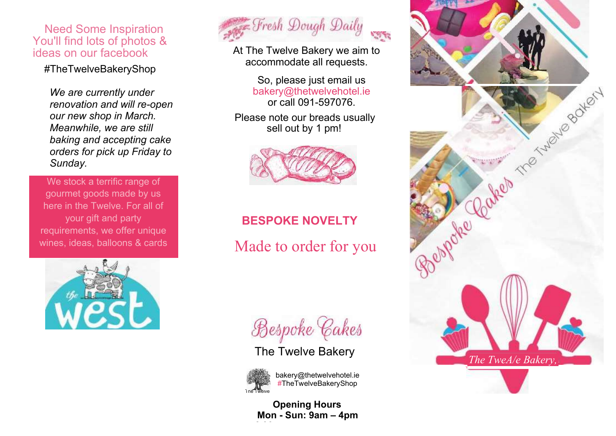### Need Some Inspiration You'll find lots of photos & ideas on our facebook

#TheTwelveBakeryShop

*We are currently under renovation and will re-open our new shop in March. Meanwhile, we are still baking and accepting cake orders for pick up Friday to Sunday.*

We stock a terrific range of gourmet goods made by us here in the Twelve. For all of your gift and party requirements, we offer unique wines, ideas, balloons & cards





At The Twelve Bakery we aim to accommodate all requests.

> So, please just email us [bakery@thetwelvehotel.ie](mailto:bakery@thetwelvehotel.ie) or call 091-597076.

Please note our breads usually sell out by 1 pm!



# **BESPOKE NOVELTY**

Made to order for you

Bespoke Cakes

### The Twelve Bakery



**6.00pm**

[bakery@thetwelvehotel.ie](mailto:bakery@thetwelvehotel.ie) #TheTwelveBakeryShop

**Opening Hours Mon - Sun: 9am – 4pm**